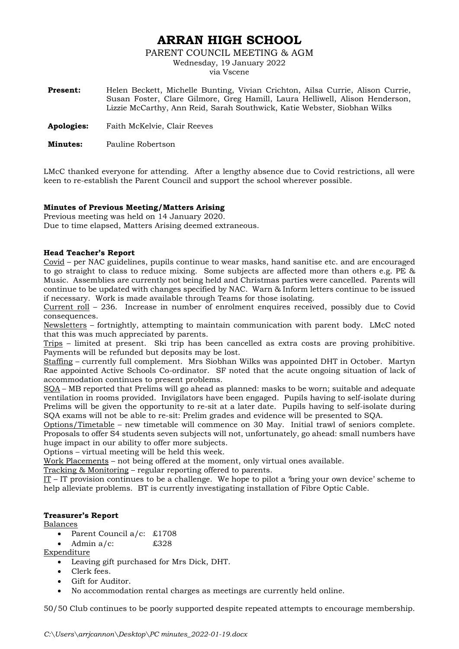# **ARRAN HIGH SCHOOL**

PARENT COUNCIL MEETING & AGM

Wednesday, 19 January 2022

via Vscene

| <b>Present:</b> | Helen Beckett, Michelle Bunting, Vivian Crichton, Ailsa Currie, Alison Currie, |
|-----------------|--------------------------------------------------------------------------------|
|                 | Susan Foster, Clare Gilmore, Greg Hamill, Laura Helliwell, Alison Henderson,   |
|                 | Lizzie McCarthy, Ann Reid, Sarah Southwick, Katie Webster, Siobhan Wilks       |
|                 |                                                                                |

**Apologies:** Faith McKelvie, Clair Reeves

**Minutes:** Pauline Robertson

LMcC thanked everyone for attending. After a lengthy absence due to Covid restrictions, all were keen to re-establish the Parent Council and support the school wherever possible.

## **Minutes of Previous Meeting/Matters Arising**

Previous meeting was held on 14 January 2020. Due to time elapsed, Matters Arising deemed extraneous.

## **Head Teacher's Report**

Covid – per NAC guidelines, pupils continue to wear masks, hand sanitise etc. and are encouraged to go straight to class to reduce mixing. Some subjects are affected more than others e.g. PE & Music. Assemblies are currently not being held and Christmas parties were cancelled. Parents will continue to be updated with changes specified by NAC. Warn & Inform letters continue to be issued if necessary. Work is made available through Teams for those isolating.

Current roll – 236. Increase in number of enrolment enquires received, possibly due to Covid consequences.

Newsletters – fortnightly, attempting to maintain communication with parent body. LMcC noted that this was much appreciated by parents.

Trips – limited at present. Ski trip has been cancelled as extra costs are proving prohibitive. Payments will be refunded but deposits may be lost.

Staffing – currently full complement. Mrs Siobhan Wilks was appointed DHT in October. Martyn Rae appointed Active Schools Co-ordinator. SF noted that the acute ongoing situation of lack of accommodation continues to present problems.

SQA – MB reported that Prelims will go ahead as planned: masks to be worn; suitable and adequate ventilation in rooms provided. Invigilators have been engaged. Pupils having to self-isolate during Prelims will be given the opportunity to re-sit at a later date. Pupils having to self-isolate during SQA exams will not be able to re-sit: Prelim grades and evidence will be presented to SQA.

Options/Timetable – new timetable will commence on 30 May. Initial trawl of seniors complete. Proposals to offer S4 students seven subjects will not, unfortunately, go ahead: small numbers have huge impact in our ability to offer more subjects.

Options – virtual meeting will be held this week.

Work Placements – not being offered at the moment, only virtual ones available.

Tracking & Monitoring – regular reporting offered to parents.

IT – IT provision continues to be a challenge. We hope to pilot a 'bring your own device' scheme to help alleviate problems. BT is currently investigating installation of Fibre Optic Cable.

## **Treasurer's Report**

#### Balances

- Parent Council a/c: £1708
- Admin  $a/c$ :  $\text{\$328}$

Expenditure

- Leaving gift purchased for Mrs Dick, DHT.
- Clerk fees.
- Gift for Auditor.
- No accommodation rental charges as meetings are currently held online.

50/50 Club continues to be poorly supported despite repeated attempts to encourage membership.